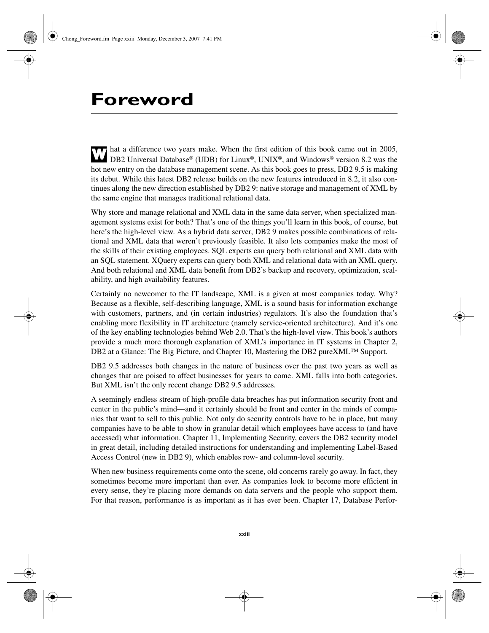## **Foreword**

hat a difference two years make. When the first edition of this book came out in 2005, **EXECUTE:** That a difference two years make. When the first edition of this book came out in 2005,<br>DB2 Universal Database® (UDB) for Linux®, UNIX®, and Windows® version 8.2 was the hot new entry on the database management scene. As this book goes to press, DB2 9.5 is making its debut. While this latest DB2 release builds on the new features introduced in 8.2, it also continues along the new direction established by DB2 9: native storage and management of XML by the same engine that manages traditional relational data.

Why store and manage relational and XML data in the same data server, when specialized management systems exist for both? That's one of the things you'll learn in this book, of course, but here's the high-level view. As a hybrid data server, DB2 9 makes possible combinations of relational and XML data that weren't previously feasible. It also lets companies make the most of the skills of their existing employees. SQL experts can query both relational and XML data with an SQL statement. XQuery experts can query both XML and relational data with an XML query. And both relational and XML data benefit from DB2's backup and recovery, optimization, scalability, and high availability features.

Certainly no newcomer to the IT landscape, XML is a given at most companies today. Why? Because as a flexible, self-describing language, XML is a sound basis for information exchange with customers, partners, and (in certain industries) regulators. It's also the foundation that's enabling more flexibility in IT architecture (namely service-oriented architecture). And it's one of the key enabling technologies behind Web 2.0. That's the high-level view. This book's authors provide a much more thorough explanation of XML's importance in IT systems in Chapter 2, DB2 at a Glance: The Big Picture, and Chapter 10, Mastering the DB2 pureXML™ Support.

DB2 9.5 addresses both changes in the nature of business over the past two years as well as changes that are poised to affect businesses for years to come. XML falls into both categories. But XML isn't the only recent change DB2 9.5 addresses.

A seemingly endless stream of high-profile data breaches has put information security front and center in the public's mind—and it certainly should be front and center in the minds of companies that want to sell to this public. Not only do security controls have to be in place, but many companies have to be able to show in granular detail which employees have access to (and have accessed) what information. Chapter 11, Implementing Security, covers the DB2 security model in great detail, including detailed instructions for understanding and implementing Label-Based Access Control (new in DB2 9), which enables row- and column-level security.

When new business requirements come onto the scene, old concerns rarely go away. In fact, they sometimes become more important than ever. As companies look to become more efficient in every sense, they're placing more demands on data servers and the people who support them. For that reason, performance is as important as it has ever been. Chapter 17, Database Perfor